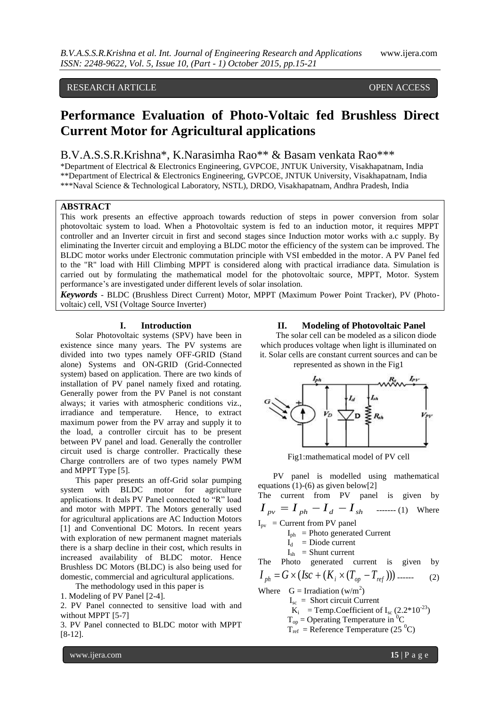# RESEARCH ARTICLE OPEN ACCESS

# **Performance Evaluation of Photo-Voltaic fed Brushless Direct Current Motor for Agricultural applications**

# B.V.A.S.S.R.Krishna\*, K.Narasimha Rao\*\* & Basam venkata Rao\*\*\*

\*Department of Electrical & Electronics Engineering, GVPCOE, JNTUK University, Visakhapatnam, India \*\*Department of Electrical & Electronics Engineering, GVPCOE, JNTUK University, Visakhapatnam, India \*\*\*Naval Science & Technological Laboratory, NSTL), DRDO, Visakhapatnam, Andhra Pradesh, India

# **ABSTRACT**

This work presents an effective approach towards reduction of steps in power conversion from solar photovoltaic system to load. When a Photovoltaic system is fed to an induction motor, it requires MPPT controller and an Inverter circuit in first and second stages since Induction motor works with a.c supply. By eliminating the Inverter circuit and employing a BLDC motor the efficiency of the system can be improved. The BLDC motor works under Electronic commutation principle with VSI embedded in the motor. A PV Panel fed to the "R" load with Hill Climbing MPPT is considered along with practical irradiance data. Simulation is carried out by formulating the mathematical model for the photovoltaic source, MPPT, Motor. System performance"s are investigated under different levels of solar insolation.

*Keywords* - BLDC (Brushless Direct Current) Motor, MPPT (Maximum Power Point Tracker), PV (Photovoltaic) cell, VSI (Voltage Source Inverter)

# **I. Introduction**

Solar Photovoltaic systems (SPV) have been in existence since many years. The PV systems are divided into two types namely OFF-GRID (Stand alone) Systems and ON-GRID (Grid-Connected system) based on application. There are two kinds of installation of PV panel namely fixed and rotating. Generally power from the PV Panel is not constant always; it varies with atmospheric conditions viz., irradiance and temperature. Hence, to extract maximum power from the PV array and supply it to the load, a controller circuit has to be present between PV panel and load. Generally the controller circuit used is charge controller. Practically these Charge controllers are of two types namely PWM and MPPT Type [5].

This paper presents an off-Grid solar pumping system with BLDC motor for agriculture applications. It deals PV Panel connected to "R" load and motor with MPPT. The Motors generally used for agricultural applications are AC Induction Motors [1] and Conventional DC Motors. In recent years with exploration of new permanent magnet materials there is a sharp decline in their cost, which results in increased availability of BLDC motor. Hence Brushless DC Motors (BLDC) is also being used for domestic, commercial and agricultural applications.

The methodology used in this paper is

1. Modeling of PV Panel [2-4].

2. PV Panel connected to sensitive load with and without MPPT [5-7]

3. PV Panel connected to BLDC motor with MPPT [8-12].

### **II. Modeling of Photovoltaic Panel**

The solar cell can be modeled as a silicon diode which produces voltage when light is illuminated on it. Solar cells are constant current sources and can be represented as shown in the Fig1



Fig1:mathematical model of PV cell

PV panel is modelled using mathematical equations (1)-(6) as given below[2]

The current from PV panel is given by  $I_{pv} = I_{ph} - I_d - I_{sh}$  ------- (1) Where

 $I_{pv}$  = Current from PV panel

 $I_{ph}$  = Photo generated Current

- $I_d$  = Diode current
- $I_{sh}$  = Shunt current

The Photo generated current is given by

$$
I_{ph} = G \times (Isc + (K_i \times (T_{op} - T_{ref}))) \dots (2)
$$

Where  $G = Irradiation (w/m<sup>2</sup>)$ 

- $I_{\rm sc}$  = Short circuit Current
- $K_i$  = Temp. Coefficient of  $I_{sc}$  (2.2\*10<sup>-23</sup>)

 $T_{op}$  = Operating Temperature in <sup>0</sup>C

 $T_{ref}$  = Reference Temperature (25  $^0C$ )

www.ijera.com **15** | P a g e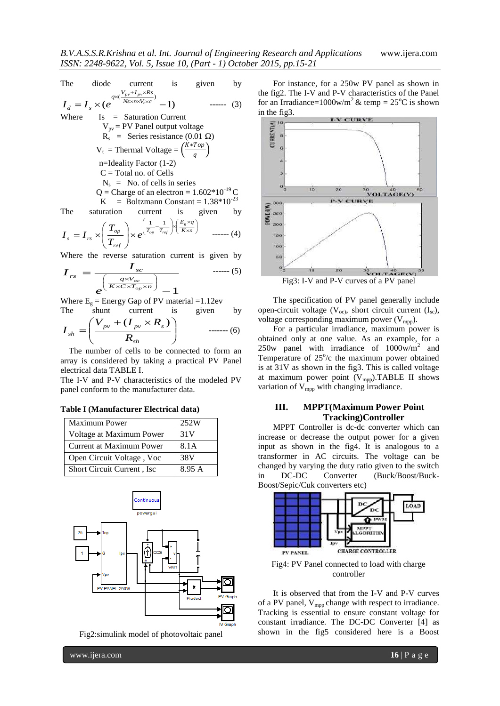The diode current is given by  
\n
$$
I_d = I_s \times (e^{\frac{V_{pv} + I_{pv} \times Rs}{Ns \times n \times V_r \times c}} - 1)
$$
\n
$$
(3)
$$

Where Is = Saturation Current  
\n
$$
V_{pv} = PV
$$
 Panel output voltage  
\n $R_s$  = Series resistance (0.01  $\Omega$ )  
\n $V_t$  = Thermal Voltage =  $\left(\frac{K * Top}{q}\right)$   
\nn=Identity Factor (1-2)  
\nC = Total no. of Cells  
\n $N_s$  = No. of cells in series  
\nQ = Charge of an electron = 1.602\*10<sup>-19</sup> C  
\nK = Boltzmann Constant = 1.38\*10<sup>-23</sup>  
\nThe saturation current is given by

 $\overline{\phantom{a}}$  $\left(\frac{E_g\times q}{K\times n}\right)$ ſ  $\times$  $\Bigg\} \times \Bigg( \frac{E_g \times}{K \times n}$ J Ι l  $\overline{\phantom{0}}$  $\times e^{\frac{1}{T_{op}}}$  $\bigg)$  $\backslash$  $\overline{\phantom{a}}$  $\setminus$ ſ  $I = I_{rs} \times \left| \frac{I_{op}}{T} \right| \times e^{ \left( T_{op} - T_{ref} \right) \int K \times n}$  $E_g \times q$  $T_{op}$  *T ref op*  $s - r s$ *g*  $e^{(\frac{I_{op}}{I_{ref}})}$ *T T*  $I_s = I$ 1 1 ------ (4)

Where the reverse saturation current is given by  
\n
$$
I_{rs} = \frac{I_{sc}}{e^{\left(\frac{q \times V_{oc}}{K \times C \times T_{op} \times n}\right)}} - 1
$$
\n(5)

Where  $E<sub>g</sub>$  = Energy Gap of PV material =1.12ev The shunt current is given by

$$
I_{sh} = \left(\frac{V_{pv} + (I_{pv} \times R_s)}{R_{sh}}\right) \qquad \qquad \dots \dots \dots \tag{6}
$$

 The number of cells to be connected to form an array is considered by taking a practical PV Panel electrical data TABLE I.

The I-V and P-V characteristics of the modeled PV panel conform to the manufacturer data.

#### **Table I (Manufacturer Electrical data)**

| <b>Maximum Power</b>        | 252W   |
|-----------------------------|--------|
| Voltage at Maximum Power    | 31V    |
| Current at Maximum Power    | 8.1A   |
| Open Circuit Voltage, Voc   | 38V    |
| Short Circuit Current, Isc. | 8.95 A |



Fig2:simulink model of photovoltaic panel

For instance, for a 250w PV panel as shown in the fig2. The I-V and P-V characteristics of the Panel for an Irradiance=1000w/m<sup>2</sup> & temp =  $25^{\circ}$ C is shown



The specification of PV panel generally include open-circuit voltage  $(V_{oc})$ , short circuit current  $(I_{sc})$ , voltage corresponding maximum power  $(V_{mpp})$ .

For a particular irradiance, maximum power is obtained only at one value. As an example, for a 250w panel with irradiance of  $1000$ w/m<sup>2</sup> and Temperature of  $25^{\circ}/c$  the maximum power obtained is at 31V as shown in the fig3. This is called voltage at maximum power point  $(V_{\text{mpp}})$ .TABLE II shows variation of  $V_{mpp}$  with changing irradiance.

# **III. MPPT(Maximum Power Point Tracking)Controller**

MPPT Controller is dc-dc converter which can increase or decrease the output power for a given input as shown in the fig4. It is analogous to a transformer in AC circuits. The voltage can be changed by varying the duty ratio given to the switch in DC-DC Converter (Buck/Boost/Buck-Boost/Sepic/Cuk converters etc)



Fig4: PV Panel connected to load with charge controller

It is observed that from the I-V and P-V curves of a PV panel,  $V_{\text{mpp}}$  change with respect to irradiance. Tracking is essential to ensure constant voltage for constant irradiance. The DC-DC Converter [4] as shown in the fig5 considered here is a Boost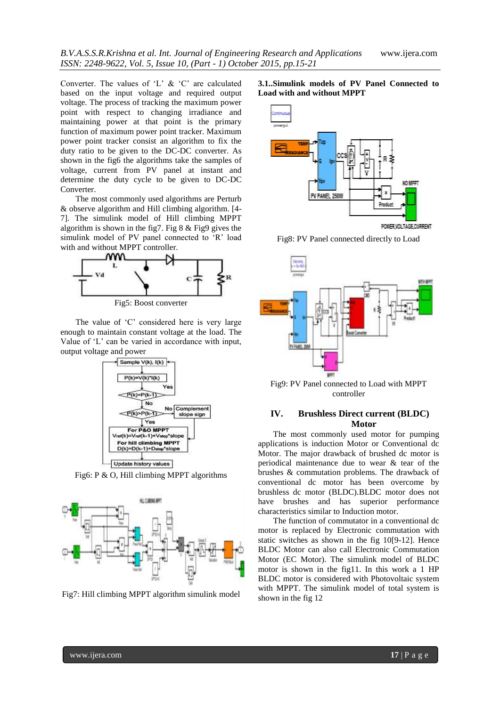Converter. The values of 'L' & 'C' are calculated based on the input voltage and required output voltage. The process of tracking the maximum power point with respect to changing irradiance and maintaining power at that point is the primary function of maximum power point tracker. Maximum power point tracker consist an algorithm to fix the duty ratio to be given to the DC-DC converter. As shown in the fig6 the algorithms take the samples of voltage, current from PV panel at instant and determine the duty cycle to be given to DC-DC Converter.

The most commonly used algorithms are Perturb & observe algorithm and Hill climbing algorithm. [4- 7]. The simulink model of Hill climbing MPPT algorithm is shown in the fig7. Fig  $8 \&$  Fig9 gives the simulink model of PV panel connected to 'R' load with and without MPPT controller.



The value of 'C' considered here is very large enough to maintain constant voltage at the load. The Value of "L" can be varied in accordance with input, output voltage and power



Fig6: P & O, Hill climbing MPPT algorithms



Fig7: Hill climbing MPPT algorithm simulink model





Fig8: PV Panel connected directly to Load



Fig9: PV Panel connected to Load with MPPT controller

# **IV. Brushless Direct current (BLDC) Motor**

The most commonly used motor for pumping applications is induction Motor or Conventional dc Motor. The major drawback of brushed dc motor is periodical maintenance due to wear & tear of the brushes & commutation problems. The drawback of conventional dc motor has been overcome by brushless dc motor (BLDC).BLDC motor does not have brushes and has superior performance characteristics similar to Induction motor.

The function of commutator in a conventional dc motor is replaced by Electronic commutation with static switches as shown in the fig 10[9-12]. Hence BLDC Motor can also call Electronic Commutation Motor (EC Motor). The simulink model of BLDC motor is shown in the fig11. In this work a 1 HP BLDC motor is considered with Photovoltaic system with MPPT. The simulink model of total system is shown in the fig 12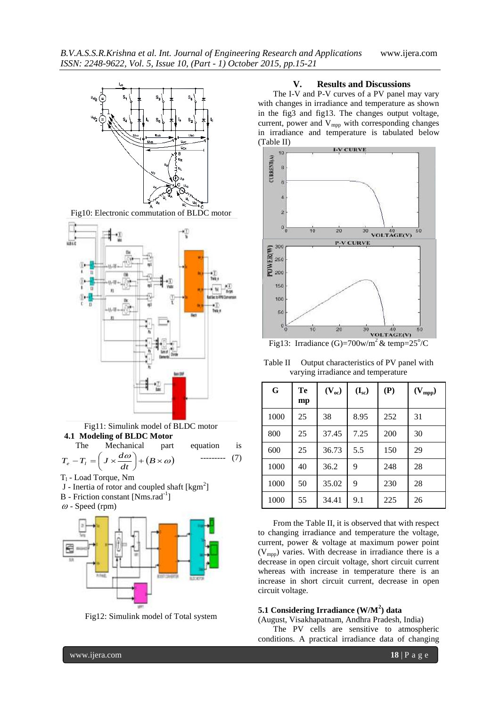

Fig10: Electronic commutation of BLDC motor



Fig11: Simulink model of BLDC motor **4.1 Modeling of BLDC Motor**



- $T_1$  Load Torque, Nm
- J Inertia of rotor and coupled shaft  $[kgm^2]$
- B Friction constant [Nms.rad<sup>-1</sup>]
- $\omega$  Speed (rpm)



Fig12: Simulink model of Total system

# **V. Results and Discussions**

The I-V and P-V curves of a PV panel may vary with changes in irradiance and temperature as shown in the fig3 and fig13. The changes output voltage, current, power and  $V_{mpp}$  with corresponding changes in irradiance and temperature is tabulated below (Table II)



Table II Output characteristics of PV panel with

| varying irradiance and temperature |  |
|------------------------------------|--|
|                                    |  |
|                                    |  |

| G    | Te<br>mp | $(V_{oc})$ | $(I_{sc})$ | (P) | $(V_{mpp})$ |
|------|----------|------------|------------|-----|-------------|
| 1000 | 25       | 38         | 8.95       | 252 | 31          |
| 800  | 25       | 37.45      | 7.25       | 200 | 30          |
| 600  | 25       | 36.73      | 5.5        | 150 | 29          |
| 1000 | 40       | 36.2       | 9          | 248 | 28          |
| 1000 | 50       | 35.02      | 9          | 230 | 28          |
| 1000 | 55       | 34.41      | 9.1        | 225 | 26          |

From the Table II, it is observed that with respect to changing irradiance and temperature the voltage, current, power & voltage at maximum power point  $(V_{\text{mpp}})$  varies. With decrease in irradiance there is a decrease in open circuit voltage, short circuit current whereas with increase in temperature there is an increase in short circuit current, decrease in open circuit voltage.

# **5.1 Considering Irradiance (W/M<sup>2</sup> ) data**

(August, Visakhapatnam, Andhra Pradesh, India) The PV cells are sensitive to atmospheric conditions. A practical irradiance data of changing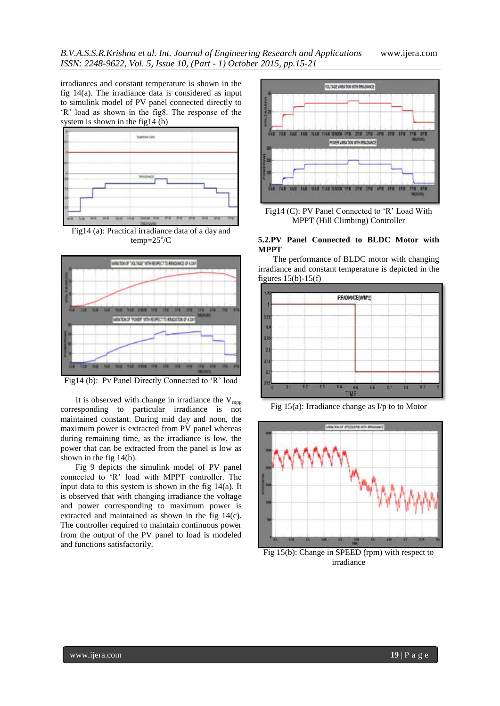irradiances and constant temperature is shown in the fig 14(a). The irradiance data is considered as input to simulink model of PV panel connected directly to "R" load as shown in the fig8. The response of the system is shown in the fig14 (b)



Fig14 (a): Practical irradiance data of a day and  $temp = 25^{\circ}/C$ 



Fig14 (b): Pv Panel Directly Connected to 'R' load

It is observed with change in irradiance the  $V_{\text{mpp}}$ corresponding to particular irradiance is not maintained constant. During mid day and noon, the maximum power is extracted from PV panel whereas during remaining time, as the irradiance is low, the power that can be extracted from the panel is low as shown in the fig 14(b).

Fig 9 depicts the simulink model of PV panel connected to "R" load with MPPT controller. The input data to this system is shown in the fig 14(a). It is observed that with changing irradiance the voltage and power corresponding to maximum power is extracted and maintained as shown in the fig 14(c). The controller required to maintain continuous power from the output of the PV panel to load is modeled and functions satisfactorily.



Fig14 (C): PV Panel Connected to 'R' Load With MPPT (Hill Climbing) Controller

## **5.2.PV Panel Connected to BLDC Motor with MPPT**

The performance of BLDC motor with changing irradiance and constant temperature is depicted in the figures  $15(b) - 15(f)$ 







Fig 15(b): Change in SPEED (rpm) with respect to irradiance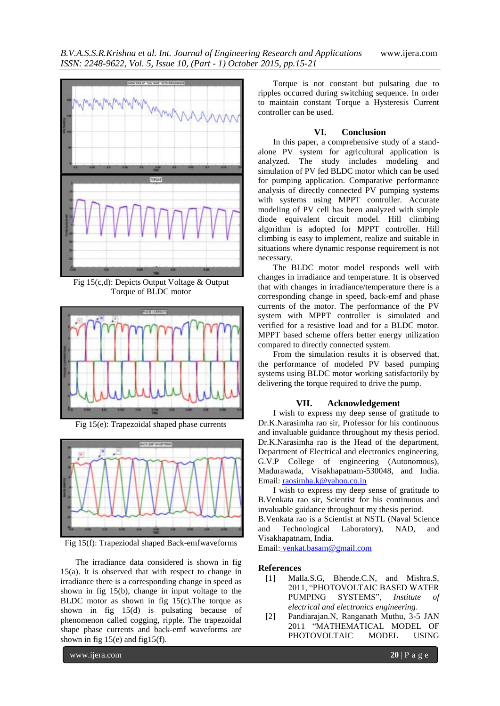

Fig 15(c,d): Depicts Output Voltage & Output Torque of BLDC motor



Fig 15(e): Trapezoidal shaped phase currents



Fig 15(f): Trapeziodal shaped Back-emfwaveforms

The irradiance data considered is shown in fig 15(a). It is observed that with respect to change in irradiance there is a corresponding change in speed as shown in fig 15(b), change in input voltage to the BLDC motor as shown in fig 15(c).The torque as shown in fig 15(d) is pulsating because of phenomenon called cogging, ripple. The trapezoidal shape phase currents and back-emf waveforms are shown in fig  $15(e)$  and fig $15(f)$ .

Torque is not constant but pulsating due to ripples occurred during switching sequence. In order to maintain constant Torque a Hysteresis Current controller can be used.

# **VI. Conclusion**

In this paper, a comprehensive study of a standalone PV system for agricultural application is analyzed. The study includes modeling and simulation of PV fed BLDC motor which can be used for pumping application. Comparative performance analysis of directly connected PV pumping systems with systems using MPPT controller. Accurate modeling of PV cell has been analyzed with simple diode equivalent circuit model. Hill climbing algorithm is adopted for MPPT controller. Hill climbing is easy to implement, realize and suitable in situations where dynamic response requirement is not necessary.

The BLDC motor model responds well with changes in irradiance and temperature. It is observed that with changes in irradiance/temperature there is a corresponding change in speed, back-emf and phase currents of the motor. The performance of the PV system with MPPT controller is simulated and verified for a resistive load and for a BLDC motor. MPPT based scheme offers better energy utilization compared to directly connected system.

From the simulation results it is observed that, the performance of modeled PV based pumping systems using BLDC motor working satisfactorily by delivering the torque required to drive the pump.

## **VII. Acknowledgement**

I wish to express my deep sense of gratitude to Dr.K.Narasimha rao sir, Professor for his continuous and invaluable guidance throughout my thesis period. Dr.K.Narasimha rao is the Head of the department, Department of Electrical and electronics engineering, G.V.P College of engineering (Autonomous), Madurawada, Visakhapatnam-530048, and India. Email: [raosimha.k@yahoo.co.in](mailto:raosimha.k@yahoo.co.in)

I wish to express my deep sense of gratitude to B.Venkata rao sir, Scientist for his continuous and invaluable guidance throughout my thesis period.

B.Venkata rao is a Scientist at NSTL (Naval Science and Technological Laboratory), NAD, and Visakhapatnam, India.

Email: [venkat.basam@gmail.com](mailto:venkat.basam@gmail.com)

#### **References**

- [1] Malla.S.G, Bhende.C.N, and Mishra.S, 2011, "PHOTOVOLTAIC BASED WATER PUMPING SYSTEMS", *Institute of electrical and electronics engineering*.
- [2] Pandiarajan.N, Ranganath Muthu, 3-5 JAN 2011 "MATHEMATICAL MODEL OF PHOTOVOLTAIC MODEL USING

www.ijera.com **20** | P a g e